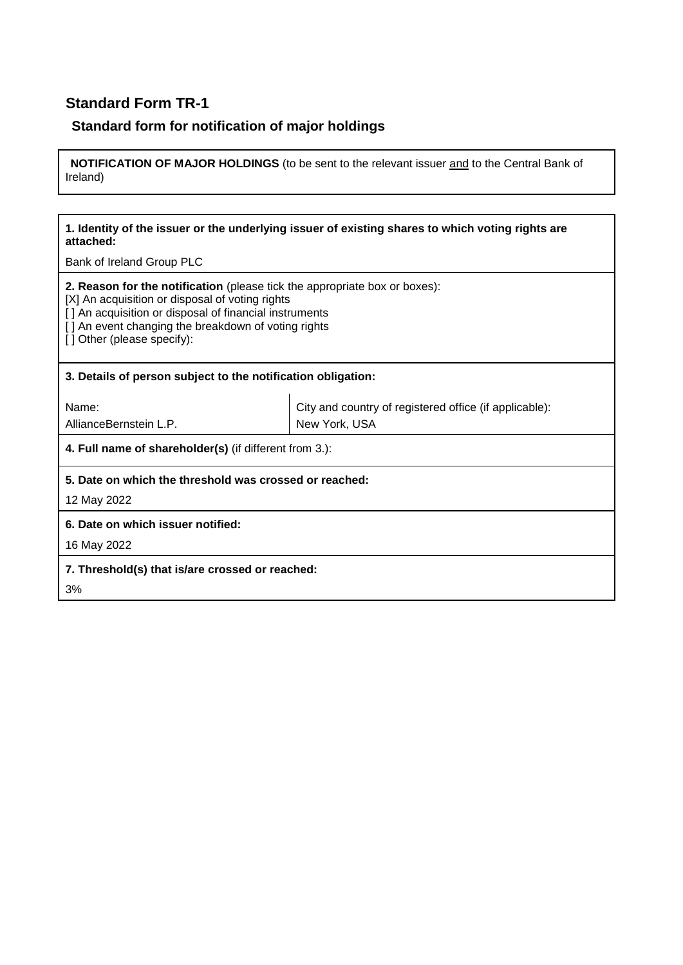# **Standard Form TR-1**

## **Standard form for notification of major holdings**

**NOTIFICATION OF MAJOR HOLDINGS** (to be sent to the relevant issuer and to the Central Bank of Ireland)

#### **1. Identity of the issuer or the underlying issuer of existing shares to which voting rights are attached:**

Bank of Ireland Group PLC

**2. Reason for the notification** (please tick the appropriate box or boxes):

[X] An acquisition or disposal of voting rights

[ ] An acquisition or disposal of financial instruments

[] An event changing the breakdown of voting rights

[] Other (please specify):

#### **3. Details of person subject to the notification obligation:**

Name:

AllianceBernstein L.P.

City and country of registered office (if applicable): New York, USA

**4. Full name of shareholder(s)** (if different from 3.):

#### **5. Date on which the threshold was crossed or reached:**

12 May 2022

**6. Date on which issuer notified:**

16 May 2022

**7. Threshold(s) that is/are crossed or reached:**

3%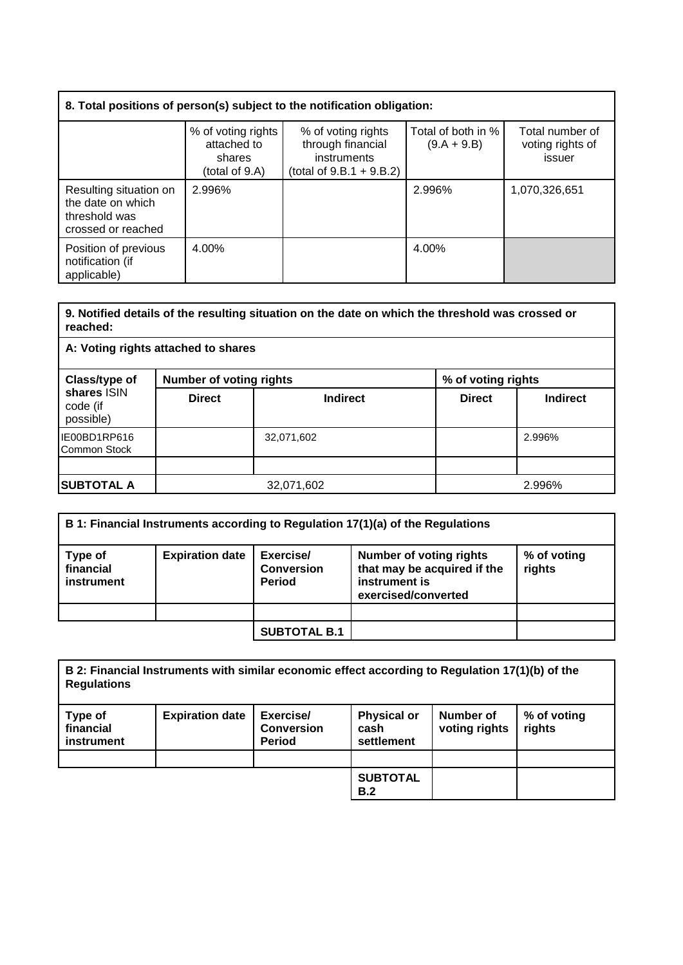| 8. Total positions of person(s) subject to the notification obligation:            |                                                               |                                                                                       |                                     |                                               |  |
|------------------------------------------------------------------------------------|---------------------------------------------------------------|---------------------------------------------------------------------------------------|-------------------------------------|-----------------------------------------------|--|
|                                                                                    | % of voting rights<br>attached to<br>shares<br>(total of 9.A) | % of voting rights<br>through financial<br>instruments<br>(total of $9.B.1 + 9.B.2$ ) | Total of both in %<br>$(9.A + 9.B)$ | Total number of<br>voting rights of<br>issuer |  |
| Resulting situation on<br>the date on which<br>threshold was<br>crossed or reached | 2.996%                                                        |                                                                                       | 2.996%                              | 1,070,326,651                                 |  |
| Position of previous<br>notification (if<br>applicable)                            | 4.00%                                                         |                                                                                       | 4.00%                               |                                               |  |

#### **9. Notified details of the resulting situation on the date on which the threshold was crossed or reached:**

**A: Voting rights attached to shares**

| Class/type of<br>shares ISIN<br>code (if<br>possible) | <b>Number of voting rights</b> |                 | % of voting rights |                 |
|-------------------------------------------------------|--------------------------------|-----------------|--------------------|-----------------|
|                                                       | <b>Direct</b>                  | <b>Indirect</b> | <b>Direct</b>      | <b>Indirect</b> |
| IE00BD1RP616<br>Common Stock                          |                                | 32,071,602      |                    | 2.996%          |
|                                                       |                                |                 |                    |                 |
| <b>SUBTOTAL A</b>                                     | 32,071,602                     |                 |                    | 2.996%          |

| B 1: Financial Instruments according to Regulation 17(1)(a) of the Regulations |                        |                                                 |                                                                                                       |                       |  |
|--------------------------------------------------------------------------------|------------------------|-------------------------------------------------|-------------------------------------------------------------------------------------------------------|-----------------------|--|
| Type of<br>financial<br>instrument                                             | <b>Expiration date</b> | Exercise/<br><b>Conversion</b><br><b>Period</b> | <b>Number of voting rights</b><br>that may be acquired if the<br>instrument is<br>exercised/converted | % of voting<br>rights |  |
|                                                                                |                        |                                                 |                                                                                                       |                       |  |
|                                                                                |                        | <b>SUBTOTAL B.1</b>                             |                                                                                                       |                       |  |

| B 2: Financial Instruments with similar economic effect according to Regulation 17(1)(b) of the<br><b>Regulations</b> |                        |                                                 |                                          |                            |                       |
|-----------------------------------------------------------------------------------------------------------------------|------------------------|-------------------------------------------------|------------------------------------------|----------------------------|-----------------------|
| Type of<br>financial<br><b>instrument</b>                                                                             | <b>Expiration date</b> | Exercise/<br><b>Conversion</b><br><b>Period</b> | <b>Physical or</b><br>cash<br>settlement | Number of<br>voting rights | % of voting<br>rights |
|                                                                                                                       |                        |                                                 |                                          |                            |                       |
|                                                                                                                       |                        |                                                 | <b>SUBTOTAL</b><br>B.2                   |                            |                       |